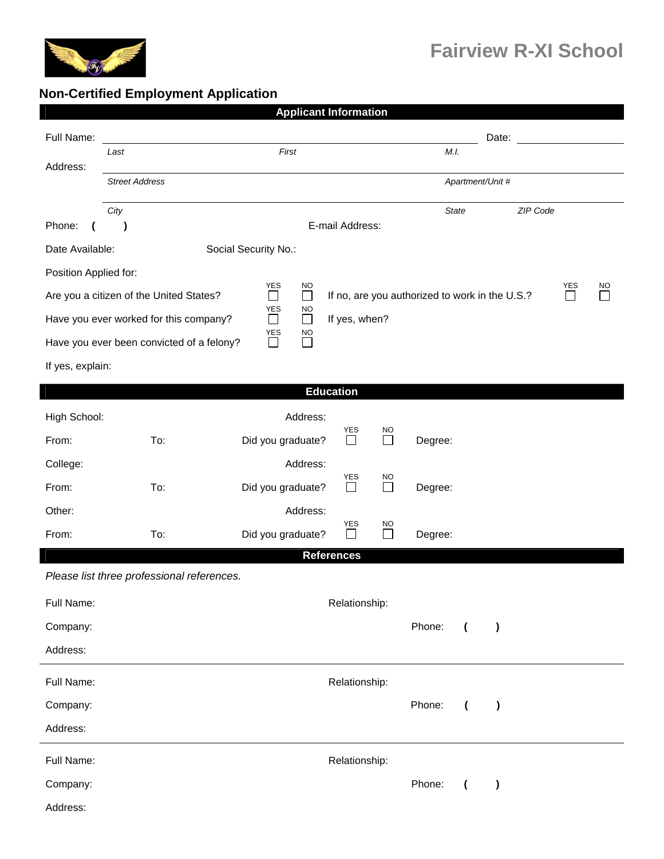

## **Non-Certified Employment Application**

| <b>Applicant Information</b>                                                                                                      |                                            |                                                        |                   |                     |                  |                                       |          |        |           |  |  |
|-----------------------------------------------------------------------------------------------------------------------------------|--------------------------------------------|--------------------------------------------------------|-------------------|---------------------|------------------|---------------------------------------|----------|--------|-----------|--|--|
| Full Name:                                                                                                                        |                                            |                                                        |                   |                     |                  |                                       | Date:    |        |           |  |  |
| Address:                                                                                                                          | First<br>Last                              |                                                        |                   |                     |                  | M.I.                                  |          |        |           |  |  |
|                                                                                                                                   | <b>Street Address</b>                      |                                                        |                   |                     | Apartment/Unit # |                                       |          |        |           |  |  |
|                                                                                                                                   | City                                       |                                                        |                   |                     | State            |                                       | ZIP Code |        |           |  |  |
| Phone:                                                                                                                            | $\lambda$                                  |                                                        | E-mail Address:   |                     |                  |                                       |          |        |           |  |  |
| Date Available:<br>Social Security No.:                                                                                           |                                            |                                                        |                   |                     |                  |                                       |          |        |           |  |  |
| Position Applied for:                                                                                                             |                                            |                                                        |                   |                     |                  |                                       |          | YES    |           |  |  |
| YES<br><b>NO</b><br>Are you a citizen of the United States?<br>$\Box$<br>$\Box$<br>If no, are you authorized to work in the U.S.? |                                            |                                                        |                   |                     |                  |                                       |          | $\Box$ | <b>NO</b> |  |  |
| ${\tt YES}$<br>NO<br>$\Box$<br>$\Box$<br>Have you ever worked for this company?<br>If yes, when?                                  |                                            |                                                        |                   |                     |                  |                                       |          |        |           |  |  |
|                                                                                                                                   | Have you ever been convicted of a felony?  | YES<br><b>NO</b><br>$\Box$<br>$\overline{\phantom{a}}$ |                   |                     |                  |                                       |          |        |           |  |  |
| If yes, explain:                                                                                                                  |                                            |                                                        |                   |                     |                  |                                       |          |        |           |  |  |
|                                                                                                                                   |                                            |                                                        | <b>Education</b>  |                     |                  |                                       |          |        |           |  |  |
| High School:                                                                                                                      |                                            | Address:                                               |                   |                     |                  |                                       |          |        |           |  |  |
| From:                                                                                                                             | To:                                        | Did you graduate?                                      | YES<br>$\Box$     | <b>NO</b><br>$\Box$ | Degree:          |                                       |          |        |           |  |  |
| College:                                                                                                                          |                                            | Address:                                               |                   |                     |                  |                                       |          |        |           |  |  |
| From:                                                                                                                             | To:                                        | Did you graduate?                                      | YES<br>⊔          | <b>NO</b><br>$\Box$ | Degree:          |                                       |          |        |           |  |  |
| Other:                                                                                                                            |                                            | Address:                                               |                   |                     |                  |                                       |          |        |           |  |  |
| From:                                                                                                                             | To:                                        | Did you graduate?                                      | YES               | <b>NO</b><br>П      | Degree:          |                                       |          |        |           |  |  |
|                                                                                                                                   |                                            |                                                        | <b>References</b> |                     |                  |                                       |          |        |           |  |  |
|                                                                                                                                   | Please list three professional references. |                                                        |                   |                     |                  |                                       |          |        |           |  |  |
| Full Name:                                                                                                                        |                                            |                                                        | Relationship:     |                     |                  |                                       |          |        |           |  |  |
| Company:                                                                                                                          |                                            |                                                        |                   |                     | Phone:           | $\overline{ }$<br>$\mathcal Y$        |          |        |           |  |  |
| Address:                                                                                                                          |                                            |                                                        |                   |                     |                  |                                       |          |        |           |  |  |
| Full Name:<br>Relationship:                                                                                                       |                                            |                                                        |                   |                     |                  |                                       |          |        |           |  |  |
| Company:                                                                                                                          |                                            |                                                        |                   |                     | Phone:           | $\overline{ }$<br>$\lambda$           |          |        |           |  |  |
| Address:                                                                                                                          |                                            |                                                        |                   |                     |                  |                                       |          |        |           |  |  |
| Full Name:                                                                                                                        |                                            |                                                        | Relationship:     |                     |                  |                                       |          |        |           |  |  |
| Company:                                                                                                                          |                                            |                                                        |                   |                     | Phone:           | $\overline{\mathcal{L}}$<br>$\lambda$ |          |        |           |  |  |
| Address:                                                                                                                          |                                            |                                                        |                   |                     |                  |                                       |          |        |           |  |  |
|                                                                                                                                   |                                            |                                                        |                   |                     |                  |                                       |          |        |           |  |  |